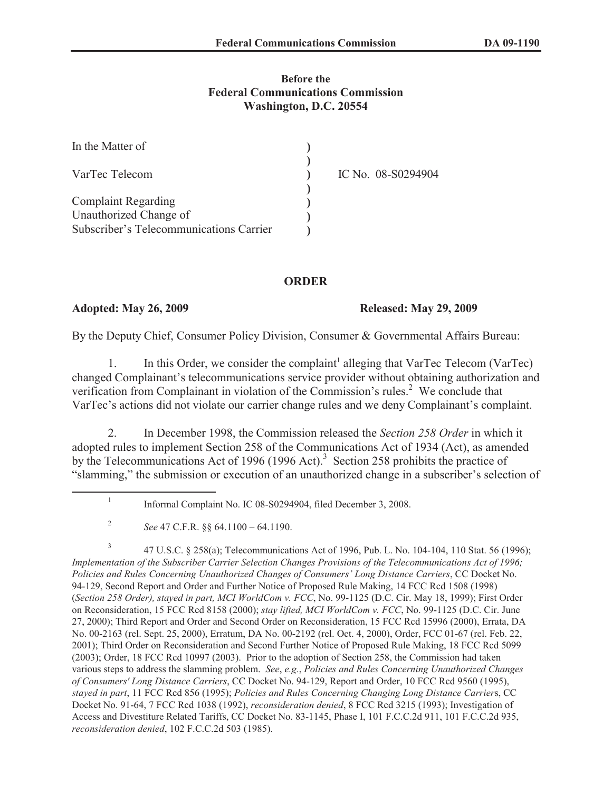## **Before the Federal Communications Commission Washington, D.C. 20554**

| In the Matter of                        |                    |
|-----------------------------------------|--------------------|
| VarTec Telecom                          | IC No. 08-S0294904 |
| <b>Complaint Regarding</b>              |                    |
| Unauthorized Change of                  |                    |
| Subscriber's Telecommunications Carrier |                    |

## **ORDER**

## **Adopted: May 26, 2009 Released: May 29, 2009**

By the Deputy Chief, Consumer Policy Division, Consumer & Governmental Affairs Bureau:

1. In this Order, we consider the complaint<sup>1</sup> alleging that VarTec Telecom (VarTec) changed Complainant's telecommunications service provider without obtaining authorization and verification from Complainant in violation of the Commission's rules.<sup>2</sup> We conclude that VarTec's actions did not violate our carrier change rules and we deny Complainant's complaint.

2. In December 1998, the Commission released the *Section 258 Order* in which it adopted rules to implement Section 258 of the Communications Act of 1934 (Act), as amended by the Telecommunications Act of 1996 (1996 Act).<sup>3</sup> Section 258 prohibits the practice of "slamming," the submission or execution of an unauthorized change in a subscriber's selection of

3 47 U.S.C. § 258(a); Telecommunications Act of 1996, Pub. L. No. 104-104, 110 Stat. 56 (1996); *Implementation of the Subscriber Carrier Selection Changes Provisions of the Telecommunications Act of 1996; Policies and Rules Concerning Unauthorized Changes of Consumers' Long Distance Carriers*, CC Docket No. 94-129, Second Report and Order and Further Notice of Proposed Rule Making, 14 FCC Rcd 1508 (1998) (*Section 258 Order), stayed in part, MCI WorldCom v. FCC*, No. 99-1125 (D.C. Cir. May 18, 1999); First Order on Reconsideration, 15 FCC Rcd 8158 (2000); *stay lifted, MCI WorldCom v. FCC*, No. 99-1125 (D.C. Cir. June 27, 2000); Third Report and Order and Second Order on Reconsideration, 15 FCC Rcd 15996 (2000), Errata, DA No. 00-2163 (rel. Sept. 25, 2000), Erratum, DA No. 00-2192 (rel. Oct. 4, 2000), Order, FCC 01-67 (rel. Feb. 22, 2001); Third Order on Reconsideration and Second Further Notice of Proposed Rule Making, 18 FCC Rcd 5099 (2003); Order, 18 FCC Rcd 10997 (2003). Prior to the adoption of Section 258, the Commission had taken various steps to address the slamming problem. *See*, *e.g.*, *Policies and Rules Concerning Unauthorized Changes of Consumers' Long Distance Carriers*, CC Docket No. 94-129, Report and Order, 10 FCC Rcd 9560 (1995), *stayed in part*, 11 FCC Rcd 856 (1995); *Policies and Rules Concerning Changing Long Distance Carrier*s, CC Docket No. 91-64, 7 FCC Rcd 1038 (1992), *reconsideration denied*, 8 FCC Rcd 3215 (1993); Investigation of Access and Divestiture Related Tariffs, CC Docket No. 83-1145, Phase I, 101 F.C.C.2d 911, 101 F.C.C.2d 935, *reconsideration denied*, 102 F.C.C.2d 503 (1985).

<sup>1</sup> Informal Complaint No. IC 08-S0294904, filed December 3, 2008.

<sup>2</sup> *See* 47 C.F.R. §§ 64.1100 – 64.1190.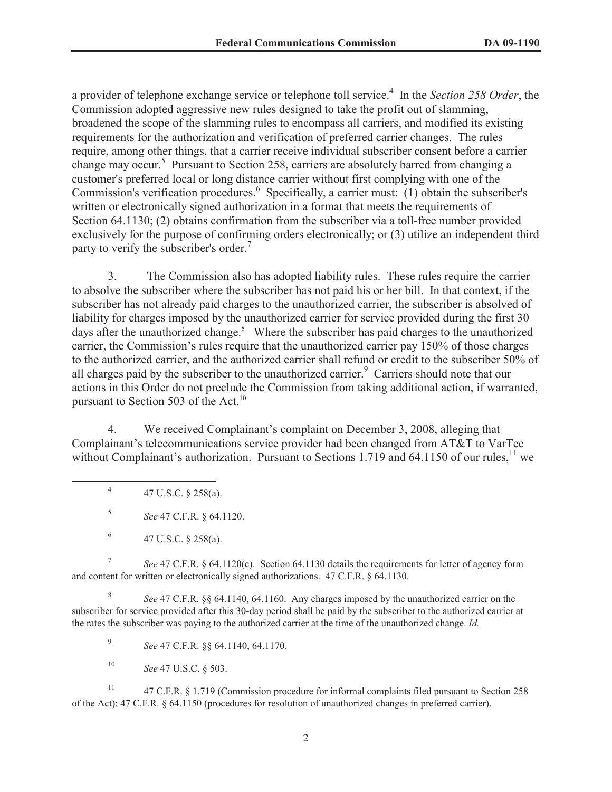a provider of telephone exchange service or telephone toll service.<sup>4</sup> In the *Section 258 Order*, the Commission adopted aggressive new rules designed to take the profit out of slamming, broadened the scope of the slamming rules to encompass all carriers, and modified its existing requirements for the authorization and verification of preferred carrier changes. The rules require, among other things, that a carrier receive individual subscriber consent before a carrier change may occur.<sup>5</sup> Pursuant to Section 258, carriers are absolutely barred from changing a customer's preferred local or long distance carrier without first complying with one of the Commission's verification procedures.<sup>6</sup> Specifically, a carrier must: (1) obtain the subscriber's written or electronically signed authorization in a format that meets the requirements of Section 64.1130; (2) obtains confirmation from the subscriber via a toll-free number provided exclusively for the purpose of confirming orders electronically; or (3) utilize an independent third party to verify the subscriber's order.<sup>7</sup>

3. The Commission also has adopted liability rules. These rules require the carrier to absolve the subscriber where the subscriber has not paid his or her bill. In that context, if the subscriber has not already paid charges to the unauthorized carrier, the subscriber is absolved of liability for charges imposed by the unauthorized carrier for service provided during the first 30 days after the unauthorized change.<sup>8</sup> Where the subscriber has paid charges to the unauthorized carrier, the Commission's rules require that the unauthorized carrier pay 150% of those charges to the authorized carrier, and the authorized carrier shall refund or credit to the subscriber 50% of all charges paid by the subscriber to the unauthorized carrier.<sup>9</sup> Carriers should note that our actions in this Order do not preclude the Commission from taking additional action, if warranted, pursuant to Section 503 of the Act.<sup>10</sup>

4. We received Complainant's complaint on December 3, 2008, alleging that Complainant's telecommunications service provider had been changed from AT&T to VarTec without Complainant's authorization. Pursuant to Sections 1.719 and 64.1150 of our rules, $^{11}$  we

4 47 U.S.C. § 258(a).

5 *See* 47 C.F.R. § 64.1120.

7 *See* 47 C.F.R. § 64.1120(c). Section 64.1130 details the requirements for letter of agency form and content for written or electronically signed authorizations. 47 C.F.R. § 64.1130.

8 *See* 47 C.F.R. §§ 64.1140, 64.1160. Any charges imposed by the unauthorized carrier on the subscriber for service provided after this 30-day period shall be paid by the subscriber to the authorized carrier at the rates the subscriber was paying to the authorized carrier at the time of the unauthorized change. *Id.*

9 *See* 47 C.F.R. §§ 64.1140, 64.1170.

<sup>10</sup> *See* 47 U.S.C. § 503.

<sup>11</sup> 47 C.F.R. § 1.719 (Commission procedure for informal complaints filed pursuant to Section 258 of the Act); 47 C.F.R. § 64.1150 (procedures for resolution of unauthorized changes in preferred carrier).

<sup>6</sup> 47 U.S.C. § 258(a).